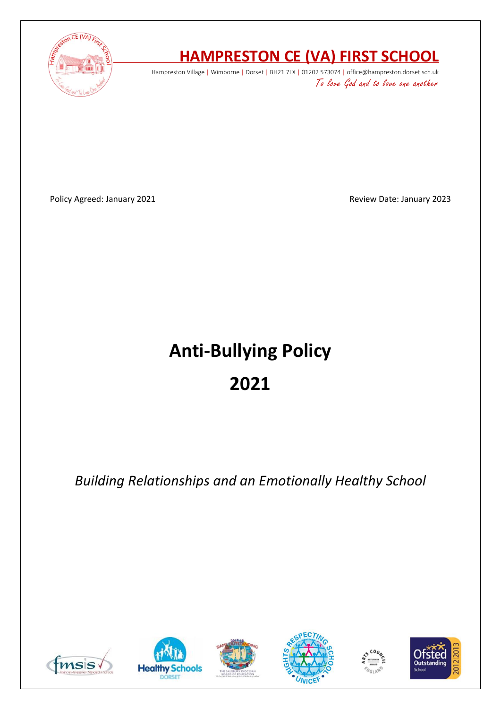

# **HAMPRESTON CE (VA) FIRST SCHOOL**

Hampreston Village | Wimborne | Dorset | BH21 7LX | 01202 573074 | office@hampreston.dorset.sch.uk To love God and to love one another

Policy Agreed: January 2021 **Policy Agreed: January 2023** 

# **Anti-Bullying Policy 2021**

*Building Relationships and an Emotionally Healthy School*











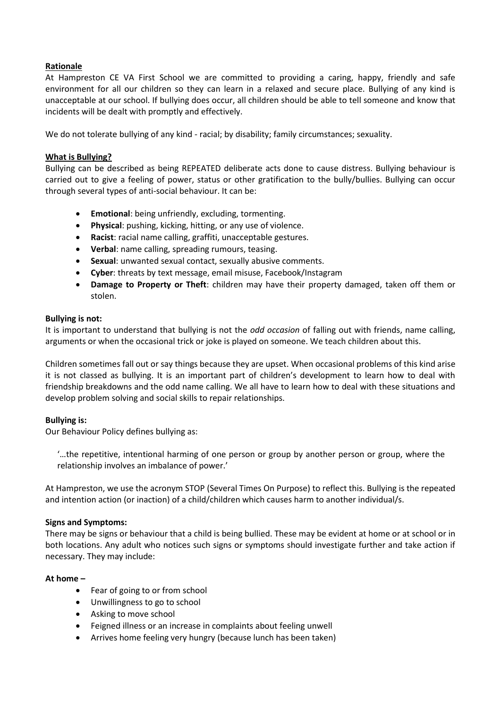#### **Rationale**

At Hampreston CE VA First School we are committed to providing a caring, happy, friendly and safe environment for all our children so they can learn in a relaxed and secure place. Bullying of any kind is unacceptable at our school. If bullying does occur, all children should be able to tell someone and know that incidents will be dealt with promptly and effectively.

We do not tolerate bullying of any kind - racial; by disability; family circumstances; sexuality.

#### **What is Bullying?**

Bullying can be described as being REPEATED deliberate acts done to cause distress. Bullying behaviour is carried out to give a feeling of power, status or other gratification to the bully/bullies. Bullying can occur through several types of anti-social behaviour. It can be:

- **Emotional**: being unfriendly, excluding, tormenting.
- **Physical**: pushing, kicking, hitting, or any use of violence.
- **Racist**: racial name calling, graffiti, unacceptable gestures.
- **Verbal**: name calling, spreading rumours, teasing.
- **Sexual**: unwanted sexual contact, sexually abusive comments.
- **Cyber**: threats by text message, email misuse, Facebook/Instagram
- **Damage to Property or Theft**: children may have their property damaged, taken off them or stolen.

#### **Bullying is not:**

It is important to understand that bullying is not the *odd occasion* of falling out with friends, name calling, arguments or when the occasional trick or joke is played on someone. We teach children about this.

Children sometimes fall out or say things because they are upset. When occasional problems of this kind arise it is not classed as bullying. It is an important part of children's development to learn how to deal with friendship breakdowns and the odd name calling. We all have to learn how to deal with these situations and develop problem solving and social skills to repair relationships.

#### **Bullying is:**

Our Behaviour Policy defines bullying as:

'…the repetitive, intentional harming of one person or group by another person or group, where the relationship involves an imbalance of power.'

At Hampreston, we use the acronym STOP (Several Times On Purpose) to reflect this. Bullying is the repeated and intention action (or inaction) of a child/children which causes harm to another individual/s.

#### **Signs and Symptoms:**

There may be signs or behaviour that a child is being bullied. These may be evident at home or at school or in both locations. Any adult who notices such signs or symptoms should investigate further and take action if necessary. They may include:

#### **At home –**

- Fear of going to or from school
- Unwillingness to go to school
- Asking to move school
- Feigned illness or an increase in complaints about feeling unwell
- Arrives home feeling very hungry (because lunch has been taken)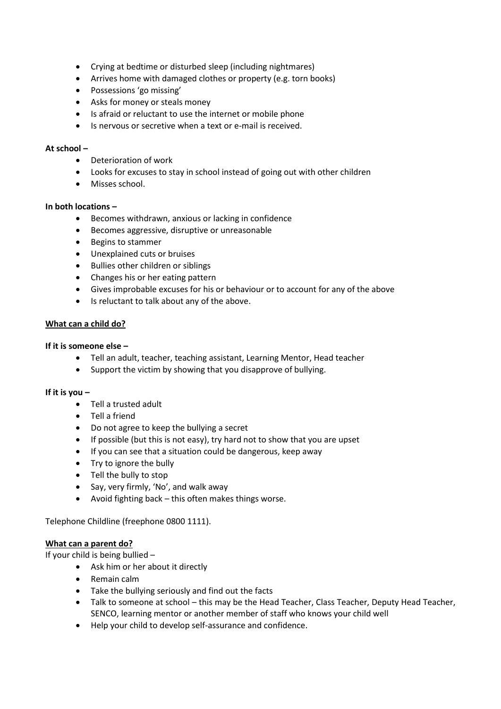- Crying at bedtime or disturbed sleep (including nightmares)
- Arrives home with damaged clothes or property (e.g. torn books)
- Possessions 'go missing'
- Asks for money or steals money
- Is afraid or reluctant to use the internet or mobile phone
- Is nervous or secretive when a text or e-mail is received.

#### **At school –**

- Deterioration of work
- Looks for excuses to stay in school instead of going out with other children
- Misses school.

#### **In both locations –**

- Becomes withdrawn, anxious or lacking in confidence
- Becomes aggressive, disruptive or unreasonable
- Begins to stammer
- Unexplained cuts or bruises
- Bullies other children or siblings
- Changes his or her eating pattern
- Gives improbable excuses for his or behaviour or to account for any of the above
- Is reluctant to talk about any of the above.

#### **What can a child do?**

#### **If it is someone else –**

- Tell an adult, teacher, teaching assistant, Learning Mentor, Head teacher
- Support the victim by showing that you disapprove of bullying.

#### **If it is you –**

- Tell a trusted adult
- Tell a friend
- Do not agree to keep the bullying a secret
- If possible (but this is not easy), try hard not to show that you are upset
- If you can see that a situation could be dangerous, keep away
- Try to ignore the bully
- Tell the bully to stop
- Say, very firmly, 'No', and walk away
- Avoid fighting back this often makes things worse.

Telephone Childline (freephone 0800 1111).

#### **What can a parent do?**

If your child is being bullied –

- Ask him or her about it directly
- Remain calm
- Take the bullying seriously and find out the facts
- Talk to someone at school this may be the Head Teacher, Class Teacher, Deputy Head Teacher, SENCO, learning mentor or another member of staff who knows your child well
- Help your child to develop self-assurance and confidence.